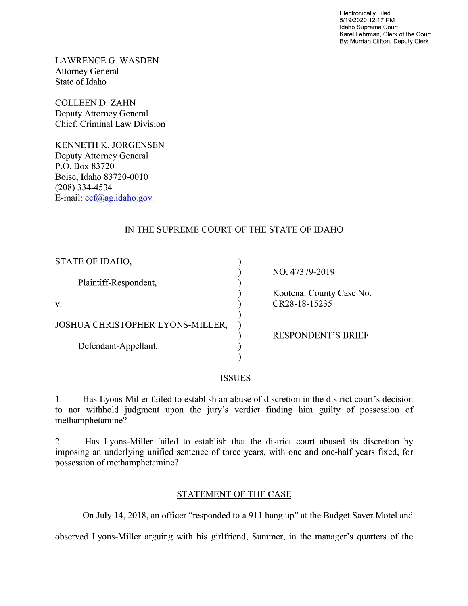Electronically Filed 5/19/2020 12:17 PM Idaho Supreme Court Karel Lehrman, Clerk of the Court By: Murriah Clifton, Deputy Clerk

LAWRENCE G. WASDEN Attorney General State of Idaho

COLLEEN D. ZAHN Deputy Attorney General Chief, Criminal Law Division

KENNETH K. JORGENSEN Deputy Attorney General P.O. Box 83720 Boise, Idaho 83720-0010 (208) 334—4534 E-mail: ecf@ag.idaho.g0v

# IN THE SUPREME COURT OF THE STATE OF IDAHO

| STATE OF IDAHO,                  |  |
|----------------------------------|--|
| Plaintiff-Respondent,            |  |
| v.                               |  |
| JOSHUA CHRISTOPHER LYONS-MILLER, |  |
| Defendant-Appellant.             |  |
|                                  |  |

NO. 47379-2019

Kootenai County Case No. CR28-18-15235

RESPONDENT'S BRIEF

### **ISSUES**

1. Has Lyons—Miller failed to establish an abuse of discretion in the district court's decision to not withhold judgment upon the jury's verdict finding him guilty of possession of methamphetamine?

2. Has Lyons-Miller failed to establish that the district court abused its discretion by imposing an underlying unified sentence 0f three years, With one and one-half years fixed, for possession of methamphetamine?

## STATEMENT OF THE CASE

On July 14, 2018, an officer "responded to a 911 hang up" at the Budget Saver Motel and

observed Lyons-Miller arguing With his girlfriend, Summer, in the manager's quarters of the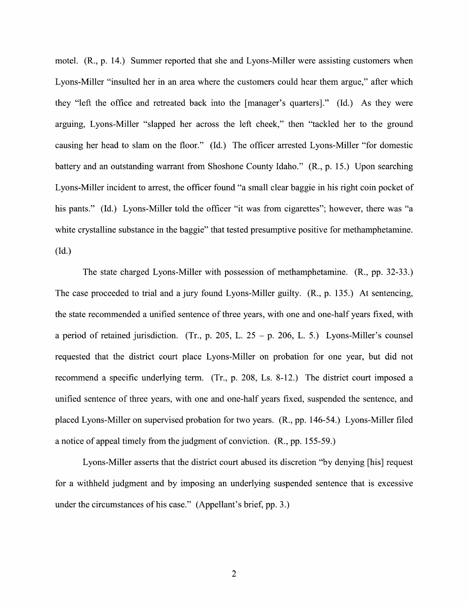motel. (R., p. 14.) Summer reported that she and Lyons—Miller were assisting customers when Lyons-Miller "insulted her in an area where the customers could hear them argue," after which they "left the office and retreated back into the [manager's quarters]." (Id.) As they were arguing, Lyons—Miller "slapped her across the left cheek," then "tackled her to the ground causing her head to slam on the floor." (Id.) The officer arrested Lyons-Miller "for domestic battery and an outstanding warrant from Shoshone County Idaho." (R., p. 15.) Upon searching Lyons-Miller incident to arrest, the officer found "a small clear baggie in his right coin pocket of his pants." (Id.) Lyons-Miller told the officer "it was from cigarettes"; however, there was "a white crystalline substance in the baggie" that tested presumptive positive for methamphetamine. (Id.)

The state charged Lyons-Miller with possession of methamphetamine. (R., pp. 32-33.) The case proceeded to trial and a jury found Lyons-Miller guilty. (R., p. 135.) At sentencing, the state recommended a unified sentence of three years, with one and one-half years fixed, with a period of retained jurisdiction. (Tr., p. 205, L. 25 - p. 206, L. 5.) Lyons-Miller's counsel requested that the district court place Lyons-Miller 0n probation for one year, but did not recommend a specific underlying term. (Tr., p. 208, Ls. 8-12.) The district court imposed a unified sentence of three years, with one and one-half years fixed, suspended the sentence, and placed Lyons-Miller 0n supervised probation for two years. (R., pp. 146-54.) Lyons-Miller filed a notice of appeal timely from the judgment of conviction. (R., pp. 155-59.)

LyonS-Miller asserts that the district court abused its discretion "by denying [his] request for a withheld judgment and by imposing an underlying suspended sentence that is excessive under the circumstances 0f his case." (Appellant's brief, pp. 3.)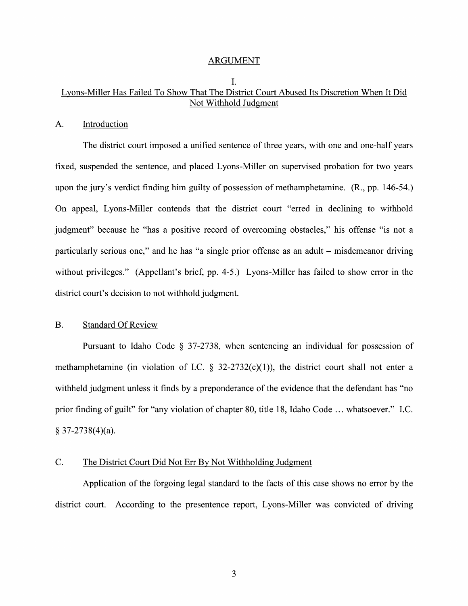#### ARGUMENT

## I. Lyons-Miller Has Failed To Show That The District Court Abused Its Discretion When It Did Not Withheld Judgment

### A. Introduction

The district court imposed a unified sentence of three years, with one and one-half years fixed, suspended the sentence, and placed Lyons—Miller 0n supervised probation for two years upon the jury's verdict finding him guilty of possession 0f methamphetamine. (R., pp. 146-54.) On appeal, Lyons—Miller contends that the district court "erred in declining to withhold judgment" because he "has a positive record of overcoming obstacles," his offense "is not a particularly serious one," and he has "a single prior offense as an adult  $-$  misdemeanor driving without privileges." (Appellant's brief, pp. 4-5.) Lyons-Miller has failed to show error in the district court's decision to not withhold judgment.

### B. Standard Of Review

Pursuant to Idaho Code  $\S$  37-2738, when sentencing an individual for possession of methamphetamine (in violation of I.C.  $\frac{2}{32}$ -2732(c)(1)), the district court shall not enter a withheld judgment unless it finds by a preponderance of the evidence that the defendant has "no prior finding of guilt" for "any violation of chapter 80, title 18, Idaho Code ... whatsoever." I.C.  $§$  37-2738(4)(a).

### C. The District Court Did Not Err BV Not Withholding Judgment

Application of the forgoing legal standard to the facts of this case shows no error by the district court. According to the presentence report, Lyons-Miller was convicted of driving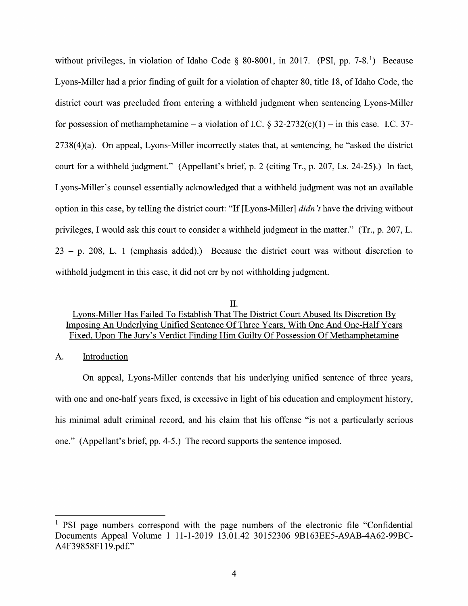without privileges, in violation of Idaho Code  $\S$  80-8001, in 2017. (PSI, pp. 7-8.<sup>1</sup>) Because Lyons-Miller had a prior finding of guilt for a violation of chapter 80, title 18, of Idaho Code, the district court was precluded from entering a withheld judgment when sentencing Lyons-Miller for possession of methamphetamine – a violation of I.C.  $\S 32-2732(c)(1)$  – in this case. I.C. 37- $2738(4)(a)$ . On appeal, Lyons-Miller incorrectly states that, at sentencing, he "asked the district court for a withheld judgment." (Appellant's brief, p. 2 (citing Tr., p. 207, Ls. 24-25).) In fact, Lyons-Miller's counsel essentially acknowledged that a withheld judgment was not an available option in this case, by telling the district court: "If [Lyons-Miller] *didn't* have the driving without privileges, I would ask this court to consider a withheld judgment in the matter." (Tr., p. 207, L.  $23 - p$ . 208, L. 1 (emphasis added).) Because the district court was without discretion to withhold judgment in this case, it did not err by not withholding judgment.

#### II.

## Lyons-Miller Has Failed To Establish That The District Court Abused Its Discretion BV Imposing An Underlying Unified Sentence Of Three Years, With One And One-Half Years Fixed, Upon The Jurv's Verdict Finding Him Guilty Of Possession Of Methamphetamine

### A. Introduction

On appeal, Lyons—Miller contends that his underlying unified sentence of three years, with one and one-half years fixed, is excessive in light of his education and employment history, his minimal adult criminal record, and his claim that his offense "is not a particularly serious one." (Appellant's brief, pp. 4-5.) The record supports the sentence imposed.

<sup>&</sup>lt;sup>1</sup> PSI page numbers correspond with the page numbers of the electronic file "Confidential" Documents Appeal Volume 11-1-2019 13.01.42 30152306 9B163EE5-A9AB-4A62-99BC-A4F39858F1 19.pdf."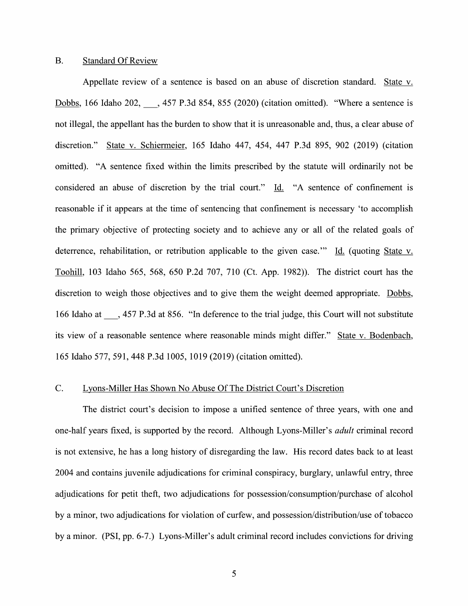### B. Standard Of Review

Appellate review of a sentence is based on an abuse of discretion standard. State v. Dobbs, 166 Idaho 202,  $\phantom{0}$ , 457 P.3d 854, 855 (2020) (citation omitted). "Where a sentence is not illegal, the appellant has the burden to show that it is unreasonable and, thus, a clear abuse of discretion." State V. Schiermeier, 165 Idaho 447, 454, 447 P.3d 895, 902 (2019) (citation omitted). "A sentence fixed Within the limits prescribed by the statute will ordinarily not be considered an abuse of discretion by the trial court."  $\underline{Id}$ . "A sentence of confinement is reasonable if it appears at the time of sentencing that confinement is necessary 'to accomplish the primary objective 0f protecting society and t0 achieve any 0r all 0f the related goals of deterrence, rehabilitation, or retribution applicable to the given case." Id. (quoting State v. Toohill, 103 Idaho 565, 568, 650 P.2d 707, 710 (Ct. App. 1982)). The district court has the discretion to weigh those objectives and to give them the weight deemed appropriate. Dobbs, <sup>166</sup> Idaho at \_, <sup>457</sup> P.3d at 856. "In deference to the trial judge, this Court will not substitute its view of a reasonable sentence where reasonable minds might differ." State v. Bodenbach, 165 Idaho 577, 591, 448 P.3d 1005, 1019 (2019) (citation omitted).

## C. Lyons-Miller Has Shown N0 Abuse Of The District Court's Discretion

The district court's decision to impose a unified sentence of three years, with one and one-half years fixed, is supported by the record. Although Lyons-Miller's *adult* criminal record is not extensive, he has a long history of disregarding the law. His record dates back to at least 2004 and contains juvenile adjudications for criminal conspiracy, burglary, unlawful entry, three adjudications for petit theft, two adjudications for possession/consumption/purchase of alcohol by a minor, two adjudications for violation of curfew, and possession/distribution/use of tobacco by a minor. (PSI, pp. 6-7.) Lyons-Miller's adult criminal record includes convictions for driving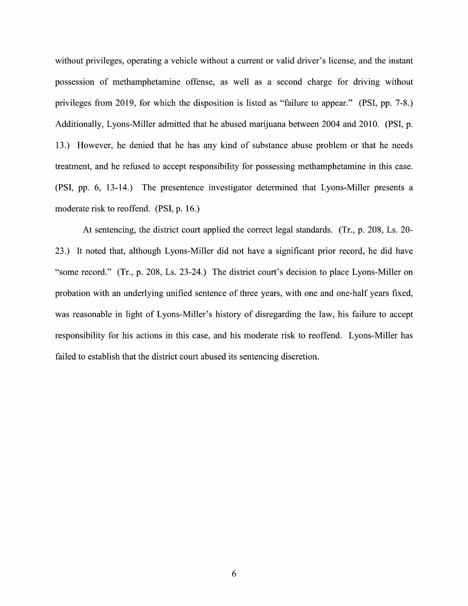without privileges, operating a vehicle without a current or valid driver's license, and the instant possession of methamphetamine offense, as well as a second charge for driving without privileges from 2019, for which the disposition is listed as "failure t0 appear." (PSI, pp. 7-8.) Additionally, Lyons—Miller admitted that he abused marijuana between 2004 and 2010. (PSI, p. 13.) However, he denied that he has any kind 0f substance abuse problem or that he needs treatment, and he refused to accept responsibility for possessing methamphetamine in this case. (PSI, pp. 6, 13-14.) The presentence investigator determined that Lyons-Miller presents a moderate risk to reoffend. (PSI, p. 16.)

At sentencing, the district court applied the correct legal standards. (Tr., p. 208, Ls. 20-23.) It noted that, although Lyons-Miller did not have a significant prior record, he did have "some record." (Tr., p. 208, Ls. 23-24.) The district court's decision to place Lyons-Miller on probation with an underlying unified sentence 0f three years, With one and one-half years fixed, was reasonable in light of Lyons-Miller's history of disregarding the law, his failure to accept responsibility for his actions in this case, and his moderate risk to reoffend. Lyons—Miller has failed to establish that the district court abused its sentencing discretion.